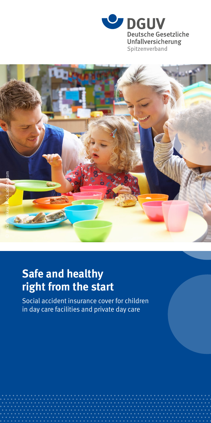



## **Safe and healthy right from the start**

Social accident insurance cover for children in day care facilities and private day care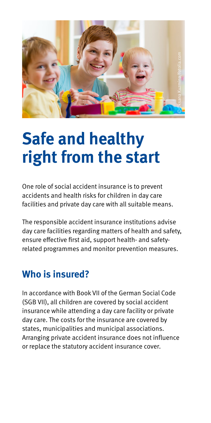

# **Safe and healthy right from the start**

One role of social accident insurance is to prevent accidents and health risks for children in day care facilities and private day care with all suitable means.

The responsible accident insurance institutions advise day care facilities regarding matters of health and safety, ensure effective first aid, support health- and safetyrelated programmes and monitor prevention measures.

#### **Who is insured?**

In accordance with Book VII of the German Social Code (SGB VII), all children are covered by social accident insurance while attending a day care facility or private day care. The costs for the insurance are covered by states, municipalities and municipal associations. Arranging private accident insurance does not influence or replace the statutory accident insurance cover.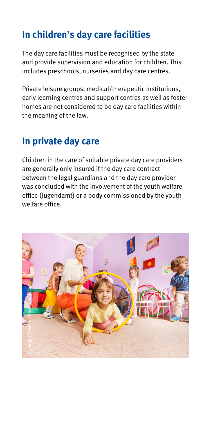### **In children's day care facilities**

The day care facilities must be recognised by the state and provide supervision and education for children. This includes preschools, nurseries and day care centres.

Private leisure groups, medical/therapeutic institutions, early learning centres and support centres as well as foster homes are not considered to be day care facilities within the meaning of the law.

#### **In private day care**

Children in the care of suitable private day care providers are generally only insured if the day care contract between the legal guardians and the day care provider was concluded with the involvement of the youth welfare office (Jugendamt) or a body commissioned by the youth welfare office.

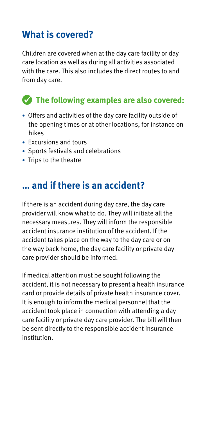### **What is covered?**

Children are covered when at the day care facility or day care location as well as during all activities associated with the care. This also includes the direct routes to and from day care.

#### **The following examples are also covered:**

- Offers and activities of the day care facility outside of the opening times or at other locations, for instance on hikes
- Excursions and tours
- Sports festivals and celebrations
- Trips to the theatre

#### **… and if there is an accident?**

If there is an accident during day care, the day care provider will know what to do. They will initiate all the necessary measures. They will inform the responsible accident insurance institution of the accident. If the accident takes place on the way to the day care or on the way back home, the day care facility or private day care provider should be informed.

If medical attention must be sought following the accident, it is not necessary to present a health insurance card or provide details of private health insurance cover. It is enough to inform the medical personnel that the accident took place in connection with attending a day care facility or private day care provider. The bill will then be sent directly to the responsible accident insurance institution.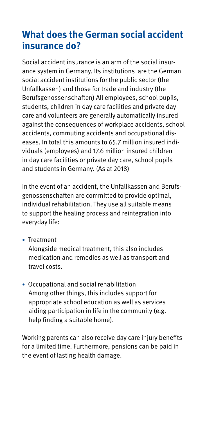#### **What does the German social accident insurance do?**

Social accident insurance is an arm of the social insurance system in Germany. Its institutions are the German social accident institutions for the public sector (the Unfallkassen) and those for trade and industry (the Berufsgenossenschaften) All employees, school pupils, students, children in day care facilities and private day care and volunteers are generally automatically insured against the consequences of workplace accidents, school accidents, commuting accidents and occupational diseases. In total this amounts to 65.7 million insured individuals (employees) and 17.6 million insured children in day care facilities or private day care, school pupils and students in Germany. (As at 2018)

In the event of an accident, the Unfallkassen and Berufsgenossenschaften are committed to provide optimal, individual rehabilitation. They use all suitable means to support the healing process and reintegration into everyday life:

• Treatment

Alongside medical treatment, this also includes medication and remedies as well as transport and travel costs.

• Occupational and social rehabilitation Among other things, this includes support for appropriate school education as well as services aiding participation in life in the community (e.g. help finding a suitable home).

Working parents can also receive day care injury benefits for a limited time. Furthermore, pensions can be paid in the event of lasting health damage.